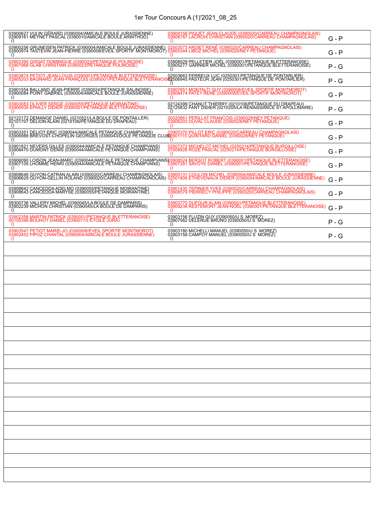# 1er Tour Concours A (1)'2021\_08\_25

| 03900627 VULIN GÉRARD (0390004/AMICALE BOULE JURASSIENNE)<br>03909161 MEYNET PASCAL (0390010/AMICALE BOULE ARINTHOD)                                                                                                              |          | 03909156 PIQUET JEAN-CLAUDE (0390020/CARREAU CHAMPAGNOLAIS)<br>03908787 LACROIX CHRISTIAN (0390020/CARREAU CHAMPAGNOLAIS) | $G - P$ |
|-----------------------------------------------------------------------------------------------------------------------------------------------------------------------------------------------------------------------------------|----------|---------------------------------------------------------------------------------------------------------------------------|---------|
| 03900256 GRUNEISEN PATRICK (0390004/AMICALE BOULE JURASSIENNE) 02503573 ARDIET RENÉ (0390020/CARREAU CHAMPAGNOLAIS)<br>03900974 TASTEVIN JEAN-PIERRE (0390008/EVEIL SPORTIF MONTMOROT) 03905344 LIBOZ MICHEL (0390028/NEY PETANQU |          |                                                                                                                           | $G - P$ |
| 03902390 GISSAT DOMINIQUE (0390023/PETANQUE POLINOISE)<br>03901968 GLAB CHRISTIAN (0390023/PETANQUE POLINOISE)<br>$\Omega$                                                                                                        |          | 03908529 PELLETIER JOËL (0390001/PETANQUE BLETTERANOISE)<br>03905277 GARNIER MICHEL (0390001/PETANQUE BLETTERANOISE)      | $P - G$ |
| 03903974 PETIOT JEAN-LOUIS (0390001/PETANQUE BLETTERANOISE) 02503663 FERREUX LUC (0250301/PETANQUE DE PONTARLIER)<br>03905203 BAGNARD JEAN-FRANÇOIS (0390001/PETANQUE BLETTERANOIS62506945 PASTEUR JEAN (0250301/PETANQUE DE PONT | $\Omega$ |                                                                                                                           | $P - G$ |
| 03901554 BALLAND JEAN-PIERRE (0390024/PETANQUE SALINOISE)<br>03900084 POINT GABRIEL (0390004/AMICALE BOULE JURASSIENNE)                                                                                                           |          | 03907851 MONTALTI GUY (0390008/EVEIL SPORTIF MONTMOROT)<br>03908474 PATEY RENE (0390008/EVEIL SPORTIF MONTMOROT)          | G - P   |
| 03903083 OLIVIER SERGE (0390055/PETANQUE MOIRANTINE)<br>03900935 EPAILLY DIDIER (0390001/PETANQUE BLETTERANOISE)                                                                                                                  |          | 02124399 CHANUT THIERRY (0210106/PETANQUE DU DRAPEAU)<br>02125832 FANT DIDIER (0210205/LA RENAISSANCE ST APOLLINAIRE)     | $P - G$ |
| 02122172 DEMANGE DANIEL (0210521/LA BOULE DE PONTAILLER)<br>02101707 DELION ALAIN (0210106/PETANQUE DU DRAPEAU)                                                                                                                   | $\Omega$ | 00320661 PERILLAT FRANCOIS (0390028/NEY PETANQUE)<br>03906203 DUVAL CLAUDE (0390028/NEY PETANQUE)                         | G - P   |
| 03903351 DELIOT ERIC (0390044/AMICALE PETANQUE CHAMPVANS) ____03905370 PILLOT ERIC (0390020/CARREAU CHAMPAGNOLAIS)<br>03006988 BREVOST-CHOPELIN GEORGES (0390043/DOLE PETANQUE CLUB)3001115 QUINTARD DANIEL (0390028/NEY PETANQUE |          |                                                                                                                           | G - P   |
| 03901821 NEVERS GILLES (0390044/AMICALE PETANQUE CHAMPVANS)<br>03908470 DUMONT DENIS (0390044/AMICALE PETANQUE CHAMPVANS)                                                                                                         | $\Omega$ | 02507372 MICHELOT MICHEL (0250214/PETANQUE BURGILLOISE)<br>07008926 ROZE PASCAL (0250214/PETANQUE BURGILLOISE)            | G - P   |
| 03906090 LOISON JEAN-MARC (0390044/AMICALE PETANQUE CHAMPVANS)03908524 BERSOT ROBERT (0390001/PETANQUE BLETTERANOISE)<br>03907105 LHOMME HENRI (0390044/AMICALE PETANQUE CHAMPVANS)   03907281 SAVOYE DANIEL (0390001/PETANQUE BL |          |                                                                                                                           | G - P   |
| 03908646 GUYON-CATRAN ALAIN (0390020/CARREAU CHAMPAGNOLAIS) 03900131 COULON MICHEL (0390004/AMICALE BOULE JURASSIENNE)<br>03906629 GUYON-GELLIN ROLAND (0390020/CARREAU CHAMPAGNOLAIS) 02501808 ETHEVENAUX DIDIER (0390004/AMICAL | $\Omega$ |                                                                                                                           | $G - P$ |
| 03908642 CANCEDDA ADELMO (0390055/PETANQUE MOIRANTINE)<br>03908643 CANCEDDA MARYSE (0390055/PETANQUE MOIRANTINE)                                                                                                                  |          | 03901435 TEPINIER YVES (0390020/CARREAU CHAMPAGNOLAIS)<br>03908579 PIERRECY PHILIPPE (0390020/CARREAU CHAMPAGNOLAIS)      | G - P   |
| 09300736 VALLERY MICHEL (0390045/LA BOULE DE DAMPARIS)<br>03902239 MICHON CHRISTIAN (0390045/LA BOULE DE DAMPARIS)                                                                                                                |          | 03903770 DUFOUR ALAIN (0390001/PETANQUE BLETTERANOISE)<br>03909238 KESTEMONT JEAN-NOEL (0390001/PETANQUE BLETTERANOISE)   | $G - P$ |
| 03902356 MARTIN PATRICK (0390001/PETANQUE BLETTERANOISE)<br>00105399 BOUHOT DANIEL (0390017/L'ETOILE JURA)                                                                                                                        |          | 03903156 FLUZIN GUY (0390050/U S_MOREZ)<br>03907562 DELERUE BRUNO (0390050/U S_MOREZ)                                     | $P - G$ |
| 03903547 PETIOT MARIE-JO (0390008/EVEIL SPORTIF MONTMOROT)<br>03902452 PIPOZ CHANTAL (0390004/AMICALE BOULE JURASSIENNE)<br>$\Omega$                                                                                              | $\Omega$ | 03903180 MICHELLI MANUEL (0390050/U S MOREZ)<br>03903158 CAMPOY MANUEL (0390050/U S MOREZ)                                | $P - G$ |
|                                                                                                                                                                                                                                   |          |                                                                                                                           |         |
|                                                                                                                                                                                                                                   |          |                                                                                                                           |         |
|                                                                                                                                                                                                                                   |          |                                                                                                                           |         |
|                                                                                                                                                                                                                                   |          |                                                                                                                           |         |
|                                                                                                                                                                                                                                   |          |                                                                                                                           |         |
|                                                                                                                                                                                                                                   |          |                                                                                                                           |         |
|                                                                                                                                                                                                                                   |          |                                                                                                                           |         |
|                                                                                                                                                                                                                                   |          |                                                                                                                           |         |
|                                                                                                                                                                                                                                   |          |                                                                                                                           |         |
|                                                                                                                                                                                                                                   |          |                                                                                                                           |         |
|                                                                                                                                                                                                                                   |          |                                                                                                                           |         |
|                                                                                                                                                                                                                                   |          |                                                                                                                           |         |
|                                                                                                                                                                                                                                   |          |                                                                                                                           |         |
|                                                                                                                                                                                                                                   |          |                                                                                                                           |         |
|                                                                                                                                                                                                                                   |          |                                                                                                                           |         |
|                                                                                                                                                                                                                                   |          |                                                                                                                           |         |
|                                                                                                                                                                                                                                   |          |                                                                                                                           |         |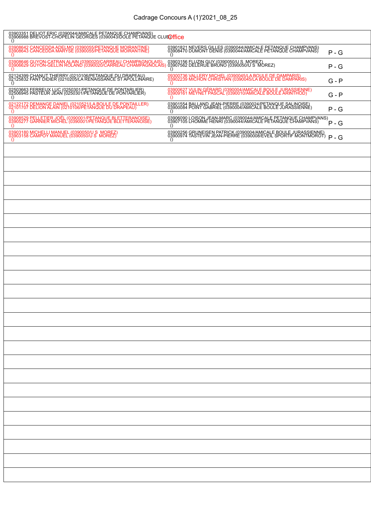| 03903351 DELIOT ERIC (0390044/AMICALE PETANQUE CHAMPVANS)<br>03906988 BREVOST-CHOPELIN GEORGES (0390043/DOLE PETANQUE CLUE <mark>D ffice</mark><br>$\Omega$                                                                  |                                                                                                                                                       |         |  |  |
|------------------------------------------------------------------------------------------------------------------------------------------------------------------------------------------------------------------------------|-------------------------------------------------------------------------------------------------------------------------------------------------------|---------|--|--|
| 03908642 CANCEDDA ADELMO (0390055/PETANQUE MOIRANTINE)<br>03908643 CANCEDDA MARYSE (0390055/PETANQUE MOIRANTINE)<br>$\left( \right)$                                                                                         | 03901821 NEVERS GILLES (0390044/AMICALE PETANQUE CHAMPVANS)<br>03908470 DUMONT DENIS (0390044/AMICALE PETANQUE CHAMPVANS)<br>$\Omega$                 | $P - G$ |  |  |
| 03908646 GUYON-CATRAN ALAIN (0390020/CARREAU CHAMPAGNOLAIS) 03903156 FLUZIN GUY (0390050/U S. MOREZ)<br>03906629 GUYON-GELLIN ROLAND (0390020/CARREAU CHAMPAGNOLAIS) 03907562 DELERUE BRUNO (0390050/U S. MOREZ)<br>$\Omega$ | $\left( \right)$                                                                                                                                      | $P - G$ |  |  |
| 02124399 CHANUT THIERRY (0210106/PETANQUE DU DRAPEAU)<br>02125832 FANT DIDIER (0210205/LA RENAISSANCE ST APOLLINAIRE)<br>$\left( \right)$                                                                                    | 09300736 VALLERY MICHEL (0390045/LA BOULE DE DAMPARIS)<br>03902239 MICHON CHRISTIAN (0390045/LA BOULE DE DAMPARIS)<br>$\Omega$                        | $G - P$ |  |  |
| 02503663 FERREUX LUC (0250301/PETANQUE DE PONTARLIER)<br>02506945 PASTEUR JEAN (0250301/PETANQUE DE PONTARLIER)<br>$\left( \right)$                                                                                          | 03900627 VULIN GÉRARD (0390004/AMICALE BOULE JURASSIENNE)<br>03909161 MEYNET PASCAL (0390010/AMICALE BOULE ARINTHOD)<br>$\Omega$                      | $G - P$ |  |  |
| 02122172 DEMANGE DANIEL (0210521/LA BOULE DE PONTAILLER)<br>02101707 DELION ALAIN (0210106/PETANQUE DU DRAPEAU)<br>$\Omega$                                                                                                  | 03901554 BALLAND JEAN-PIERRE (0390024/PETANQUE SALINOISE)<br>03900084 POINT GABRIEL (0390004/AMICALE BOULE JURASSIENNE)<br>$\Omega$                   | P-G     |  |  |
| 03908529 PELLETIER JOËL (0390001/PETANQUE BLETTERANOISE)<br>03905277 GARNIER MICHEL (0390001/PETANQUE BLETTERANOISE)<br>$\Omega$                                                                                             | 03906090 LOISON JEAN-MARC (0390044/AMICALE PETANQUE CHAMPVANS)<br>03907105 LHOMME HENRI (0390044/AMICALE PETANQUE CHAMPVANS)<br>$\Omega$              | $P - G$ |  |  |
| 03903180 MICHELLI MANUEL (0390050/U S MOREZ)<br>03903158 CAMPOY MANUEL (0390050/U S MOREZ)<br>$\Omega$                                                                                                                       | 03900256 GRUNEISEN PATRICK (0390004/AMICALE BOULE JURASSIENNE)<br>03900974 TASTEVIN JEAN-PIERRE (0390008/EVEIL SPORTIF MONTMOROT)<br>$\left( \right)$ | $P - G$ |  |  |
|                                                                                                                                                                                                                              |                                                                                                                                                       |         |  |  |
|                                                                                                                                                                                                                              |                                                                                                                                                       |         |  |  |
|                                                                                                                                                                                                                              |                                                                                                                                                       |         |  |  |
|                                                                                                                                                                                                                              |                                                                                                                                                       |         |  |  |
|                                                                                                                                                                                                                              |                                                                                                                                                       |         |  |  |
|                                                                                                                                                                                                                              |                                                                                                                                                       |         |  |  |
|                                                                                                                                                                                                                              |                                                                                                                                                       |         |  |  |
|                                                                                                                                                                                                                              |                                                                                                                                                       |         |  |  |
|                                                                                                                                                                                                                              |                                                                                                                                                       |         |  |  |
|                                                                                                                                                                                                                              |                                                                                                                                                       |         |  |  |
|                                                                                                                                                                                                                              |                                                                                                                                                       |         |  |  |
|                                                                                                                                                                                                                              |                                                                                                                                                       |         |  |  |
|                                                                                                                                                                                                                              |                                                                                                                                                       |         |  |  |
|                                                                                                                                                                                                                              |                                                                                                                                                       |         |  |  |
|                                                                                                                                                                                                                              |                                                                                                                                                       |         |  |  |
|                                                                                                                                                                                                                              |                                                                                                                                                       |         |  |  |
|                                                                                                                                                                                                                              |                                                                                                                                                       |         |  |  |
|                                                                                                                                                                                                                              |                                                                                                                                                       |         |  |  |
|                                                                                                                                                                                                                              |                                                                                                                                                       |         |  |  |
|                                                                                                                                                                                                                              |                                                                                                                                                       |         |  |  |
|                                                                                                                                                                                                                              |                                                                                                                                                       |         |  |  |
|                                                                                                                                                                                                                              |                                                                                                                                                       |         |  |  |
|                                                                                                                                                                                                                              |                                                                                                                                                       |         |  |  |
|                                                                                                                                                                                                                              |                                                                                                                                                       |         |  |  |
|                                                                                                                                                                                                                              |                                                                                                                                                       |         |  |  |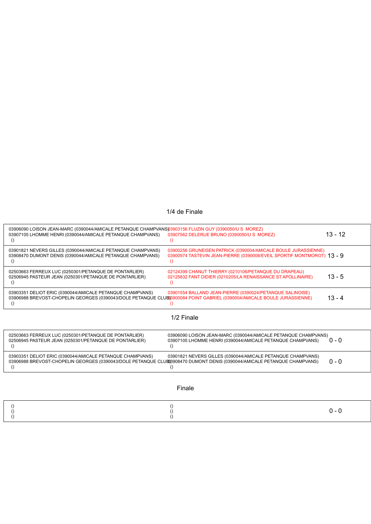# 1/4 de Finale

|        | 03906090 LOISON JEAN-MARC (0390044/AMICALE PETANQUE CHAMPVANS03903156 FLUZIN GUY (0390050/U S MOREZ)<br>03907562 DELERUE BRUNO (0390050/U S MOREZ)<br>03907105 LHOMME HENRI (0390044/AMICALE PETANQUE CHAMPVANS)<br>$\left( \right)$                                                      | $13 - 12$ |  |  |
|--------|-------------------------------------------------------------------------------------------------------------------------------------------------------------------------------------------------------------------------------------------------------------------------------------------|-----------|--|--|
|        | 03900256 GRUNEISEN PATRICK (0390004/AMICALE BOULE JURASSIENNE)<br>03901821 NEVERS GILLES (0390044/AMICALE PETANQUE CHAMPVANS)<br>03900974 TASTEVIN JEAN-PIERRE (0390008/EVEIL SPORTIF MONTMOROT) 13 - 9<br>03908470 DUMONT DENIS (0390044/AMICALE PETANQUE CHAMPVANS)<br>$\left( \right)$ |           |  |  |
|        | 02124399 CHANUT THIERRY (0210106/PETANQUE DU DRAPEAU)<br>02503663 FERREUX LUC (0250301/PETANQUE DE PONTARLIER)<br>02506945 PASTEUR JEAN (0250301/PETANQUE DE PONTARLIER)<br>02125832 FANT DIDIER (0210205/LA RENAISSANCE ST APOLLINAIRE)<br>$\left( \right)$                              | $13 - 5$  |  |  |
|        | 03903351 DELIOT ERIC (0390044/AMICALE PETANQUE CHAMPVANS)<br>03901554 BALLAND JEAN-PIERRE (0390024/PETANQUE SALINOISE)<br>03906988 BREVOST-CHOPELIN GEORGES (0390043/DOLE PETANQUE CLUB)3900084 POINT GABRIEL (0390004/AMICALE BOULE JURASSIENNE)                                         | $13 - 4$  |  |  |
|        | 1/2 Finale                                                                                                                                                                                                                                                                                |           |  |  |
|        | 02503663 FERREUX LUC (0250301/PETANQUE DE PONTARLIER)<br>03906090 LOISON JEAN-MARC (0390044/AMICALE PETANQUE CHAMPVANS)<br>02506945 PASTEUR JEAN (0250301/PETANQUE DE PONTARLIER)<br>03907105 LHOMME HENRI (0390044/AMICALE PETANQUE CHAMPVANS)<br>$\left( \right)$<br>$\left( \right)$   | $0 - 0$   |  |  |
|        | 03903351 DELIOT ERIC (0390044/AMICALE PETANQUE CHAMPVANS)<br>03901821 NEVERS GILLES (0390044/AMICALE PETANQUE CHAMPVANS)<br>03906988 BREVOST-CHOPELIN GEORGES (0390043/DOLE PETANQUE CLUB03908470 DUMONT DENIS (0390044/AMICALE PETANQUE CHAMPVANS)<br>$\left( \right)$                   | $0 - 0$   |  |  |
| Finale |                                                                                                                                                                                                                                                                                           |           |  |  |
|        |                                                                                                                                                                                                                                                                                           | $0 - 0$   |  |  |

()

()